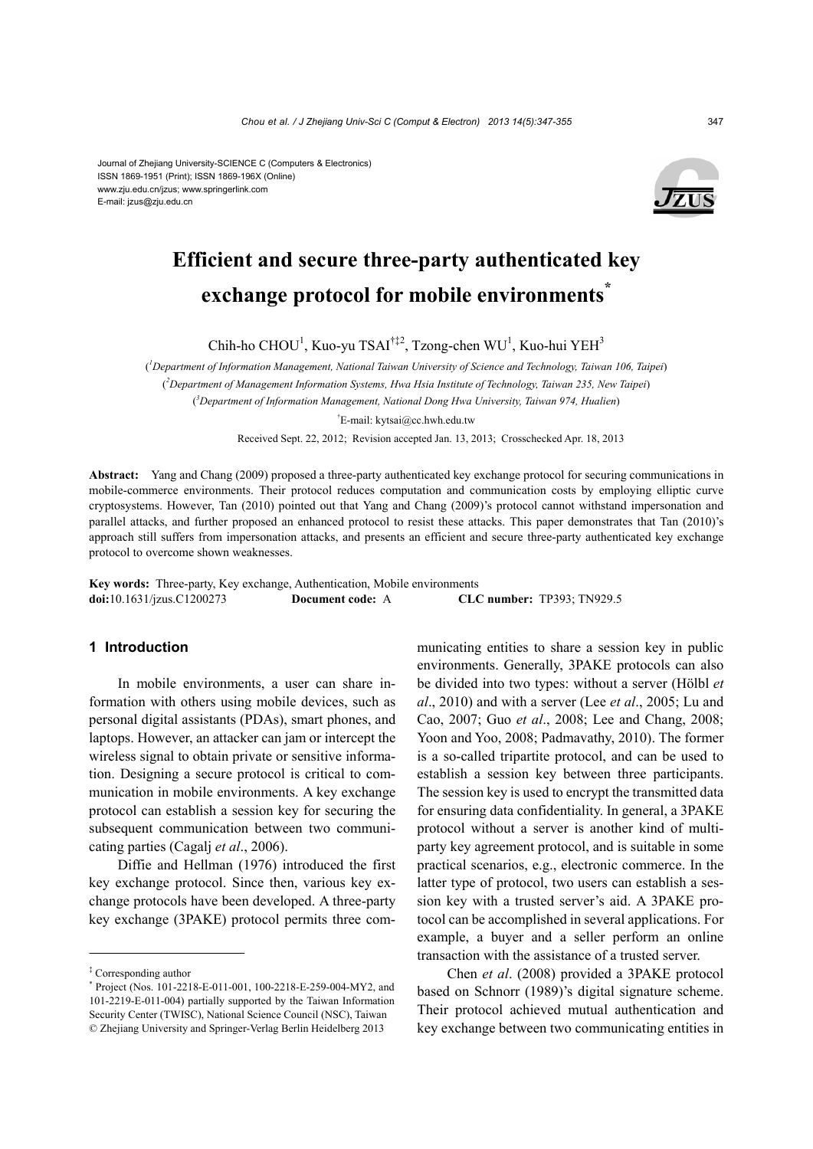

# **Efficient and secure three-party authenticated key exchange protocol for mobile environments\***

Chih-ho CHOU<sup>1</sup>, Kuo-yu TSAI<sup>†‡2</sup>, Tzong-chen WU<sup>1</sup>, Kuo-hui YEH<sup>3</sup>

( *1 Department of Information Management, National Taiwan University of Science and Technology, Taiwan 106, Taipei*) ( *2 Department of Management Information Systems, Hwa Hsia Institute of Technology, Taiwan 235, New Taipei*) ( *3 Department of Information Management, National Dong Hwa University, Taiwan 974, Hualien*)

† E-mail: kytsai@cc.hwh.edu.tw

Received Sept. 22, 2012; Revision accepted Jan. 13, 2013; Crosschecked Apr. 18, 2013

**Abstract:** Yang and Chang (2009) proposed a three-party authenticated key exchange protocol for securing communications in mobile-commerce environments. Their protocol reduces computation and communication costs by employing elliptic curve cryptosystems. However, Tan (2010) pointed out that Yang and Chang (2009)'s protocol cannot withstand impersonation and parallel attacks, and further proposed an enhanced protocol to resist these attacks. This paper demonstrates that Tan (2010)'s approach still suffers from impersonation attacks, and presents an efficient and secure three-party authenticated key exchange protocol to overcome shown weaknesses.

**Key words:** Three-party, Key exchange, Authentication, Mobile environments **doi:**10.1631/jzus.C1200273 **Document code:** A **CLC number:** TP393; TN929.5

## **1 Introduction**

In mobile environments, a user can share information with others using mobile devices, such as personal digital assistants (PDAs), smart phones, and laptops. However, an attacker can jam or intercept the wireless signal to obtain private or sensitive information. Designing a secure protocol is critical to communication in mobile environments. A key exchange protocol can establish a session key for securing the subsequent communication between two communicating parties (Cagalj *et al*., 2006).

Diffie and Hellman (1976) introduced the first key exchange protocol. Since then, various key exchange protocols have been developed. A three-party key exchange (3PAKE) protocol permits three communicating entities to share a session key in public environments. Generally, 3PAKE protocols can also be divided into two types: without a server (Hölbl *et al*., 2010) and with a server (Lee *et al*., 2005; Lu and Cao, 2007; Guo *et al*., 2008; Lee and Chang, 2008; Yoon and Yoo, 2008; Padmavathy, 2010). The former is a so-called tripartite protocol, and can be used to establish a session key between three participants. The session key is used to encrypt the transmitted data for ensuring data confidentiality. In general, a 3PAKE protocol without a server is another kind of multiparty key agreement protocol, and is suitable in some practical scenarios, e.g., electronic commerce. In the latter type of protocol, two users can establish a session key with a trusted server's aid. A 3PAKE protocol can be accomplished in several applications. For example, a buyer and a seller perform an online transaction with the assistance of a trusted server.

Chen *et al*. (2008) provided a 3PAKE protocol based on Schnorr (1989)'s digital signature scheme. Their protocol achieved mutual authentication and key exchange between two communicating entities in

<sup>‡</sup> Corresponding author

<sup>\*</sup> Project (Nos. 101-2218-E-011-001, 100-2218-E-259-004-MY2, and 101-2219-E-011-004) partially supported by the Taiwan Information Security Center (TWISC), National Science Council (NSC), Taiwan © Zhejiang University and Springer-Verlag Berlin Heidelberg 2013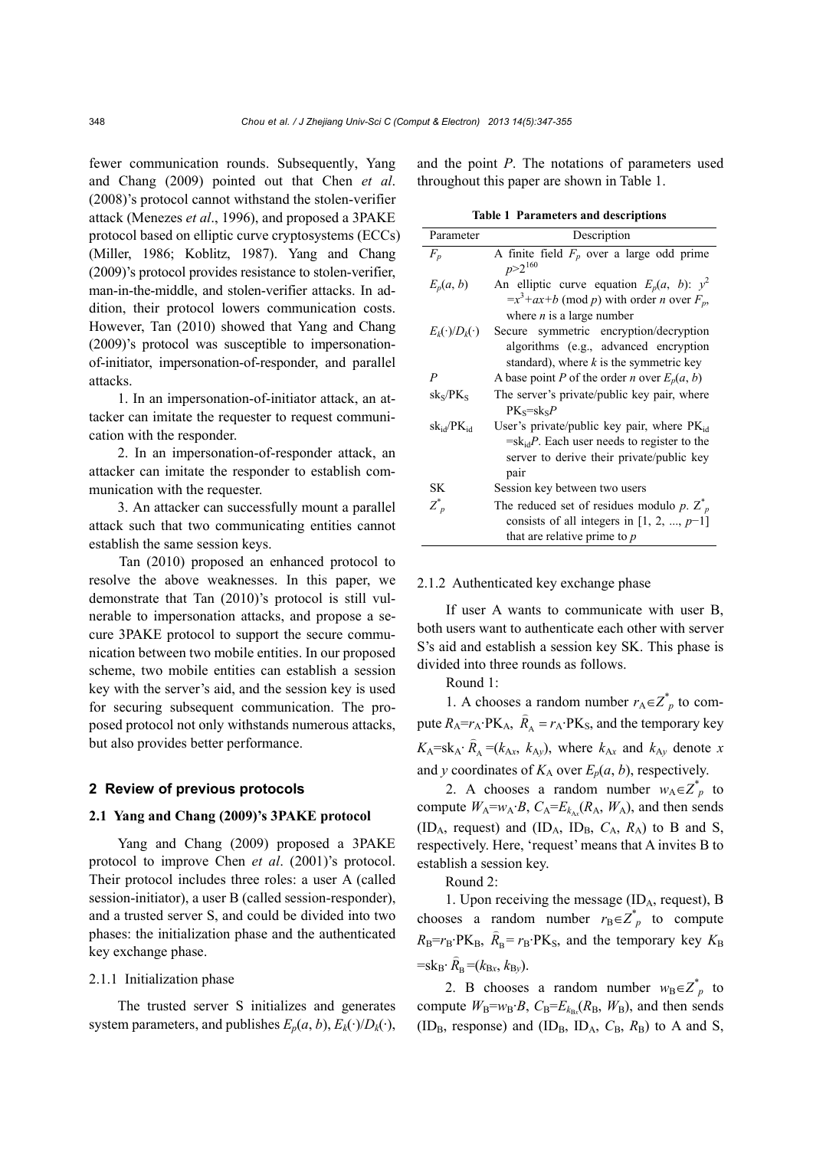fewer communication rounds. Subsequently, Yang and Chang (2009) pointed out that Chen *et al*. (2008)'s protocol cannot withstand the stolen-verifier attack (Menezes *et al*., 1996), and proposed a 3PAKE protocol based on elliptic curve cryptosystems (ECCs) (Miller, 1986; Koblitz, 1987). Yang and Chang (2009)'s protocol provides resistance to stolen-verifier, man-in-the-middle, and stolen-verifier attacks. In addition, their protocol lowers communication costs. However, Tan (2010) showed that Yang and Chang (2009)'s protocol was susceptible to impersonationof-initiator, impersonation-of-responder, and parallel attacks.

1. In an impersonation-of-initiator attack, an attacker can imitate the requester to request communication with the responder.

2. In an impersonation-of-responder attack, an attacker can imitate the responder to establish communication with the requester.

3. An attacker can successfully mount a parallel attack such that two communicating entities cannot establish the same session keys.

Tan (2010) proposed an enhanced protocol to resolve the above weaknesses. In this paper, we demonstrate that Tan (2010)'s protocol is still vulnerable to impersonation attacks, and propose a secure 3PAKE protocol to support the secure communication between two mobile entities. In our proposed scheme, two mobile entities can establish a session key with the server's aid, and the session key is used for securing subsequent communication. The proposed protocol not only withstands numerous attacks, but also provides better performance.

## **2 Review of previous protocols**

## **2.1 Yang and Chang (2009)'s 3PAKE protocol**

Yang and Chang (2009) proposed a 3PAKE protocol to improve Chen *et al*. (2001)'s protocol. Their protocol includes three roles: a user A (called session-initiator), a user B (called session-responder), and a trusted server S, and could be divided into two phases: the initialization phase and the authenticated key exchange phase.

#### 2.1.1 Initialization phase

The trusted server S initializes and generates system parameters, and publishes  $E_p(a, b)$ ,  $E_k(\cdot)/D_k(\cdot)$ , and the point *P*. The notations of parameters used throughout this paper are shown in Table 1.

|  | <b>Table 1 Parameters and descriptions</b> |  |
|--|--------------------------------------------|--|
|--|--------------------------------------------|--|

| Parameter               | Description                                                                                                                                                        |
|-------------------------|--------------------------------------------------------------------------------------------------------------------------------------------------------------------|
| $F_p$                   | A finite field $F_p$ over a large odd prime<br>$p > 2^{160}$                                                                                                       |
| $E_p(a, b)$             | An elliptic curve equation $E_p(a, b)$ : $y^2$<br>$=x^3+ax+b \pmod{p}$ with order <i>n</i> over $F_p$ ,                                                            |
| $E_k(\cdot)/D_k(\cdot)$ | where $n$ is a large number<br>Secure symmetric encryption/decryption<br>algorithms (e.g., advanced encryption<br>standard), where $k$ is the symmetric key        |
| $\boldsymbol{P}$        | A base point P of the order n over $E_p(a, b)$                                                                                                                     |
| $sk_S/PK_S$             | The server's private/public key pair, where<br>$PK_s = sk_sP$                                                                                                      |
| $sk_{id}/PK_{id}$       | User's private/public key pair, where $PK_{id}$<br>$=$ sk <sub>id</sub> P. Each user needs to register to the<br>server to derive their private/public key<br>pair |
| <b>SK</b>               | Session key between two users                                                                                                                                      |
| $Z_p^*$                 | The reduced set of residues modulo p. $Z_{p}^{*}$<br>consists of all integers in [1, 2, , $p-1$ ]<br>that are relative prime to $p$                                |

#### 2.1.2 Authenticated key exchange phase

If user A wants to communicate with user B, both users want to authenticate each other with server S's aid and establish a session key SK. This phase is divided into three rounds as follows.

Round 1:

1. A chooses a random number  $r_A \in Z_p^*$  to compute  $R_A = r_A \cdot P K_A$ ,  $\hat{R}_A = r_A \cdot P K_S$ , and the temporary key  $K_A = s k_A \cdot \hat{R}_A = (k_{Ax}, k_{Ay})$ , where  $k_{Ax}$  and  $k_{Ay}$  denote *x* and *y* coordinates of  $K_A$  over  $E_p(a, b)$ , respectively.

2. A chooses a random number  $w_A \in Z^*_{p}$  to compute  $W_A = w_A \cdot B$ ,  $C_A = E_{k_A} (R_A, W_A)$ , and then sends (ID<sub>A</sub>, request) and (ID<sub>A</sub>, ID<sub>B</sub>,  $C_A$ ,  $R_A$ ) to B and S, respectively. Here, 'request' means that A invites B to establish a session key.

Round 2:

1. Upon receiving the message (IDA, request), B chooses a random number  $r_B \in Z^*$  to compute  $R_{\rm B} = r_{\rm B} \cdot P K_{\rm B}$ ,  $\hat{R}_{\rm B} = r_{\rm B} \cdot P K_{\rm S}$ , and the temporary key  $K_{\rm B}$  $=$ sk<sub>B</sub>:  $\hat{R}_B = (k_{Bx}, k_{By})$ .

2. B chooses a random number  $w_B \in Z^*_{p}$  to compute  $W_B = w_B \cdot B$ ,  $C_B = E_{k_B} (R_B, W_B)$ , and then sends (ID<sub>B</sub>, response) and (ID<sub>B</sub>, ID<sub>A</sub>,  $C_B$ ,  $R_B$ ) to A and S,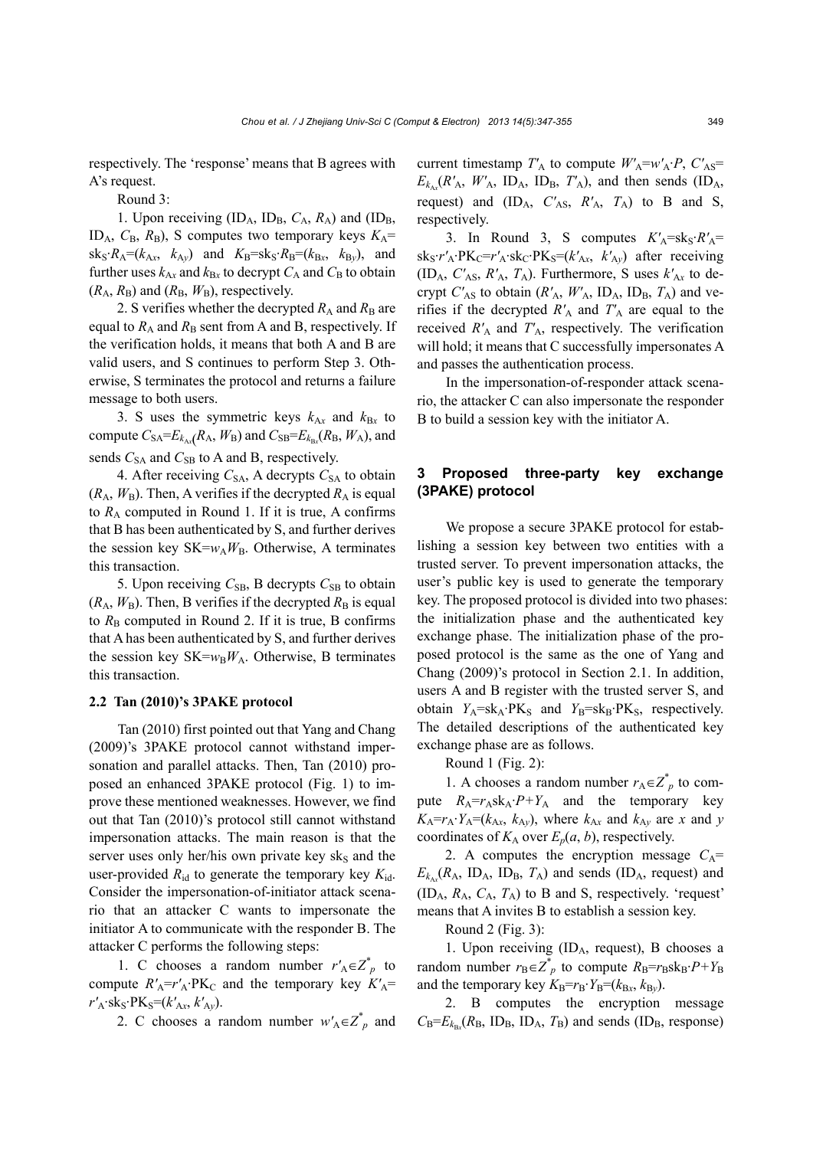respectively. The 'response' means that B agrees with A's request.

Round 3:

1. Upon receiving  $(ID_A, ID_B, C_A, R_A)$  and  $(ID_B, I_A)$ ID<sub>A</sub>,  $C_B$ ,  $R_B$ ), S computes two temporary keys  $K_A$ =  $sk_S \cdot R_A = (k_{Ax}, k_{Ay})$  and  $K_B = sk_S \cdot R_B = (k_{Bx}, k_{By})$ , and further uses  $k_{Ax}$  and  $k_{Bx}$  to decrypt  $C_A$  and  $C_B$  to obtain  $(R_A, R_B)$  and  $(R_B, W_B)$ , respectively.

2. S verifies whether the decrypted  $R_A$  and  $R_B$  are equal to  $R_A$  and  $R_B$  sent from A and B, respectively. If the verification holds, it means that both A and B are valid users, and S continues to perform Step 3. Otherwise, S terminates the protocol and returns a failure message to both users.

3. S uses the symmetric keys  $k_{Ax}$  and  $k_{Bx}$  to compute  $C_{SA} = E_{k_{Ax}}(R_A, W_B)$  and  $C_{SB} = E_{k_{Bx}}(R_B, W_A)$ , and sends  $C_{SA}$  and  $C_{SB}$  to A and B, respectively.

4. After receiving  $C_{SA}$ , A decrypts  $C_{SA}$  to obtain  $(R_A, W_B)$ . Then, A verifies if the decrypted  $R_A$  is equal to  $R_A$  computed in Round 1. If it is true, A confirms that B has been authenticated by S, and further derives the session key  $SK = w_A W_B$ . Otherwise, A terminates this transaction.

5. Upon receiving  $C_{SB}$ , B decrypts  $C_{SB}$  to obtain  $(R_A, W_B)$ . Then, B verifies if the decrypted  $R_B$  is equal to  $R_B$  computed in Round 2. If it is true, B confirms that A has been authenticated by S, and further derives the session key  $SK = w_B W_A$ . Otherwise, B terminates this transaction.

#### **2.2 Tan (2010)'s 3PAKE protocol**

Tan (2010) first pointed out that Yang and Chang (2009)'s 3PAKE protocol cannot withstand impersonation and parallel attacks. Then, Tan (2010) proposed an enhanced 3PAKE protocol (Fig. 1) to improve these mentioned weaknesses. However, we find out that Tan (2010)'s protocol still cannot withstand impersonation attacks. The main reason is that the server uses only her/his own private key sks and the user-provided  $R_{\text{id}}$  to generate the temporary key  $K_{\text{id}}$ . Consider the impersonation-of-initiator attack scenario that an attacker C wants to impersonate the initiator A to communicate with the responder B. The attacker C performs the following steps:

1. C chooses a random number  $r'_{A} \in Z_{p}^{*}$  to compute  $R'_{A} = r'_{A} \cdot PK_{C}$  and the temporary key  $K'_{A} =$  $r'_{A}$ ·sk<sub>S</sub>·PK<sub>S</sub>=( $k'_{Ax}$ ,  $k'_{Ay}$ ).

2. C chooses a random number  $w'_{A} \in Z_{p}^{*}$  and

current timestamp  $T'_{A}$  to compute  $W'_{A} = w'_{A} \cdot P$ ,  $C'_{A} =$  $E_{k_{Ax}}(R'_{A}, W'_{A}, ID_{A}, ID_{B}, T'_{A})$ , and then sends (ID<sub>A</sub>, request) and  $(ID_A, C'_{AS}, R'_{A}, T_A)$  to B and S, respectively.

3. In Round 3, S computes  $K'_A = sk_S \cdot R'_A =$  $sk_S \cdot r'_A \cdot PK_C = r'_A \cdot sk_C \cdot PK_S = (k'_{Ax}, k'_{Ay})$  after receiving  $(ID_A, C'_{AS}, R'_{A}, T_A)$ . Furthermore, S uses  $k'_{Ax}$  to decrypt  $C'_{AS}$  to obtain  $(R'_{A}, W'_{A}, ID_{A}, ID_{B}, T_{A})$  and verifies if the decrypted  $R'_{A}$  and  $T'_{A}$  are equal to the received  $R'_{A}$  and  $T'_{A}$ , respectively. The verification will hold; it means that C successfully impersonates A and passes the authentication process.

In the impersonation-of-responder attack scenario, the attacker C can also impersonate the responder B to build a session key with the initiator A.

## **3 Proposed three-party key exchange (3PAKE) protocol**

We propose a secure 3PAKE protocol for establishing a session key between two entities with a trusted server. To prevent impersonation attacks, the user's public key is used to generate the temporary key. The proposed protocol is divided into two phases: the initialization phase and the authenticated key exchange phase. The initialization phase of the proposed protocol is the same as the one of Yang and Chang (2009)'s protocol in Section 2.1. In addition, users A and B register with the trusted server S, and obtain  $Y_A = s k_A \cdot P K_S$  and  $Y_B = s k_B \cdot P K_S$ , respectively. The detailed descriptions of the authenticated key exchange phase are as follows.

Round 1 (Fig. 2):

1. A chooses a random number  $r_A \in Z_p^*$  to compute  $R_A = r_A s k_A \cdot P + Y_A$  and the temporary key  $K_A = r_A \cdot Y_A = (k_{Ax}, k_{Ay}),$  where  $k_{Ax}$  and  $k_{Ay}$  are *x* and *y* coordinates of  $K_A$  over  $E_p(a, b)$ , respectively.

2. A computes the encryption message  $C_A$ =  $E_{k_{Ax}}(R_A, ID_A, ID_B, T_A)$  and sends (ID<sub>A</sub>, request) and  $(ID_A, R_A, C_A, T_A)$  to B and S, respectively. 'request' means that A invites B to establish a session key.

Round 2 (Fig. 3):

1. Upon receiving  $(ID<sub>A</sub>, request), B chooses a$ random number  $r_B \in Z^*$  to compute  $R_B = r_B s k_B \cdot P + Y_B$ and the temporary key  $K_B=r_B \cdot Y_B=(k_{Bx}, k_{By})$ .

2. B computes the encryption message  $C_B = E_{k_B}$  ( $R_B$ , ID<sub>B</sub>, ID<sub>A</sub>,  $T_B$ ) and sends (ID<sub>B</sub>, response)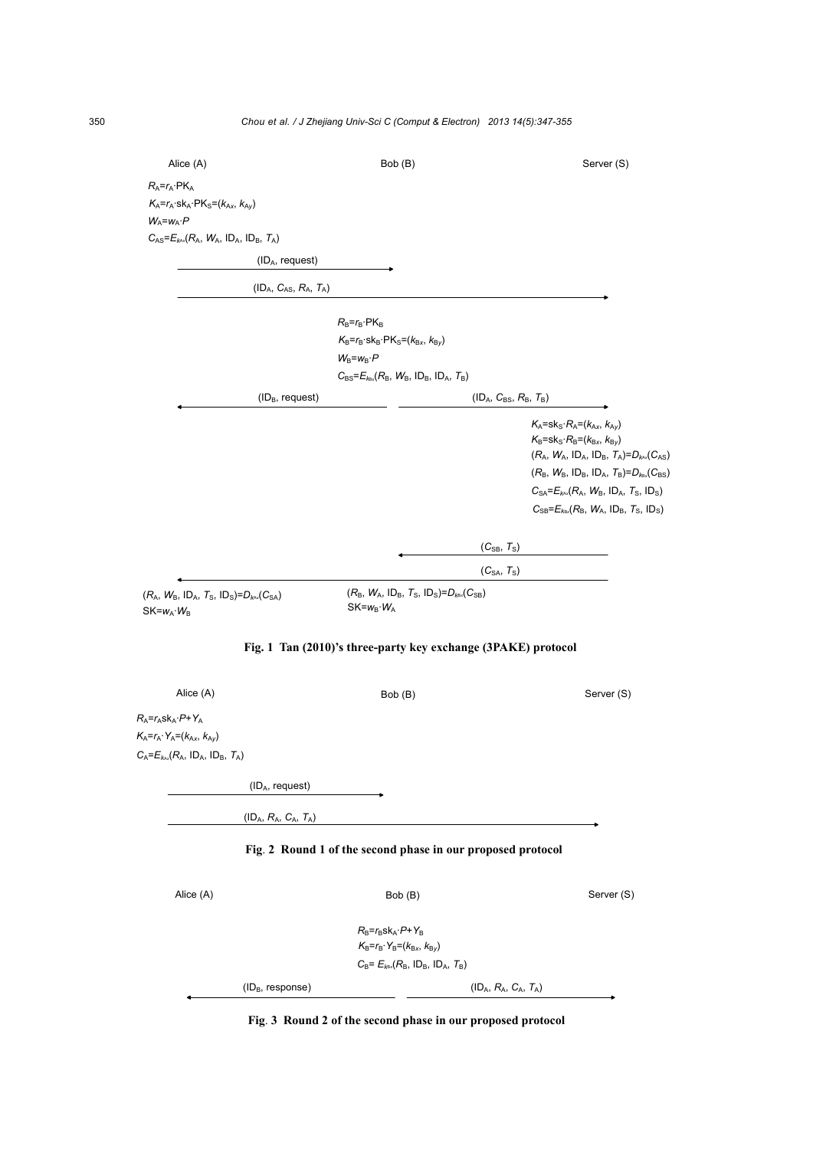| Alice (A)                                                              | Bob (B)                                                               |                         | Server (S)                                                                                                                                                                                                                                                                                                |
|------------------------------------------------------------------------|-----------------------------------------------------------------------|-------------------------|-----------------------------------------------------------------------------------------------------------------------------------------------------------------------------------------------------------------------------------------------------------------------------------------------------------|
| $R_A = r_A \cdot PK_A$                                                 |                                                                       |                         |                                                                                                                                                                                                                                                                                                           |
| $K_A = r_A$ ·sk <sub>A</sub> ·PK <sub>S</sub> =( $k_{Ax}$ , $k_{Ay}$ ) |                                                                       |                         |                                                                                                                                                                                                                                                                                                           |
| $W_A = w_A \cdot P$                                                    |                                                                       |                         |                                                                                                                                                                                                                                                                                                           |
| $C_{AS} = E_{k \wedge k} (R_A, W_A, ID_A, ID_B, T_A)$                  |                                                                       |                         |                                                                                                                                                                                                                                                                                                           |
| (ID <sub>A</sub> , request)                                            |                                                                       |                         |                                                                                                                                                                                                                                                                                                           |
| $(ID_A, C_{AS}, R_A, T_A)$                                             |                                                                       |                         |                                                                                                                                                                                                                                                                                                           |
|                                                                        | $R_B = r_B \cdot PK_B$                                                |                         |                                                                                                                                                                                                                                                                                                           |
|                                                                        | $K_B = r_B \cdot sk_B \cdot PK_S = (k_{Bx}, k_{By})$                  |                         |                                                                                                                                                                                                                                                                                                           |
|                                                                        | $W_B = w_B \cdot P$                                                   |                         |                                                                                                                                                                                                                                                                                                           |
|                                                                        | $C_{BS} = E_{k}R_{BS}}(R_B, W_B, ID_B, ID_A, T_B)$                    |                         |                                                                                                                                                                                                                                                                                                           |
| $(ID_B$ , request)                                                     |                                                                       | $(IDA, CBS, RB, TB)$    |                                                                                                                                                                                                                                                                                                           |
|                                                                        |                                                                       |                         |                                                                                                                                                                                                                                                                                                           |
|                                                                        |                                                                       |                         | $K_A$ =sk <sub>S</sub> · $R_A$ = $(k_{Ax}, k_{Ay})$<br>$K_B = s k_S \cdot R_B = (k_{Bx}, k_{By})$<br>$(R_A, W_A, ID_A, ID_B, T_A)=D_{kax}(C_{AS})$<br>$(R_B, W_B, ID_B, ID_A, T_B)=D_{k_x}(C_{BS})$<br>$C_{SA} = E_{k A x} (R_A, W_B, ID_A, T_S, ID_S)$<br>$C_{SB} = E_{kbs} (R_B, W_A, ID_B, T_S, ID_S)$ |
|                                                                        |                                                                       | $(C_{SB}, T_S)$         |                                                                                                                                                                                                                                                                                                           |
|                                                                        |                                                                       | $(C_{SA}, T_S)$         |                                                                                                                                                                                                                                                                                                           |
| $(R_A, W_B, ID_A, T_S, ID_S) = D_{kax}(C_{SA})$<br>$SK=w_A \cdot W_B$  | $(R_B, W_A, ID_B, T_S, ID_S) = D_{k_x}(C_{SB})$<br>$SK=w_B \cdot W_A$ |                         |                                                                                                                                                                                                                                                                                                           |
|                                                                        | Fig. 1 Tan (2010)'s three-party key exchange (3PAKE) protocol         |                         |                                                                                                                                                                                                                                                                                                           |
| Alice (A)                                                              | Bob (B)                                                               |                         | Server (S)                                                                                                                                                                                                                                                                                                |
| $R_A = r_A s k_A \cdot P + Y_A$                                        |                                                                       |                         |                                                                                                                                                                                                                                                                                                           |
| $K_A=r_A\cdot Y_A=(k_{Ax}, k_{Ay})$                                    |                                                                       |                         |                                                                                                                                                                                                                                                                                                           |
| $C_A = E_{k \wedge k} (R_A, ID_A, ID_B, T_A)$                          |                                                                       |                         |                                                                                                                                                                                                                                                                                                           |
|                                                                        |                                                                       |                         |                                                                                                                                                                                                                                                                                                           |
| (ID <sub>A</sub> , request)                                            |                                                                       |                         |                                                                                                                                                                                                                                                                                                           |
| $(ID_A, R_A, C_A, T_A)$                                                |                                                                       |                         |                                                                                                                                                                                                                                                                                                           |
|                                                                        | Fig. 2 Round 1 of the second phase in our proposed protocol           |                         |                                                                                                                                                                                                                                                                                                           |
| Alice (A)                                                              | Bob (B)                                                               |                         | Server (S)                                                                                                                                                                                                                                                                                                |
|                                                                        | $R_B = r_B s k_A \cdot P + Y_B$                                       |                         |                                                                                                                                                                                                                                                                                                           |
|                                                                        | $K_{B} = r_{B} \cdot Y_{B} = (k_{Bx}, k_{By})$                        |                         |                                                                                                                                                                                                                                                                                                           |
|                                                                        | $C_B = E_{k_B x} (R_B, 1D_B, 1D_A, T_B)$                              |                         |                                                                                                                                                                                                                                                                                                           |
| $(ID_B, response)$                                                     |                                                                       | $(ID_A, R_A, C_A, T_A)$ |                                                                                                                                                                                                                                                                                                           |
|                                                                        |                                                                       |                         |                                                                                                                                                                                                                                                                                                           |

**Fig**. **3 Round 2 of the second phase in our proposed protocol**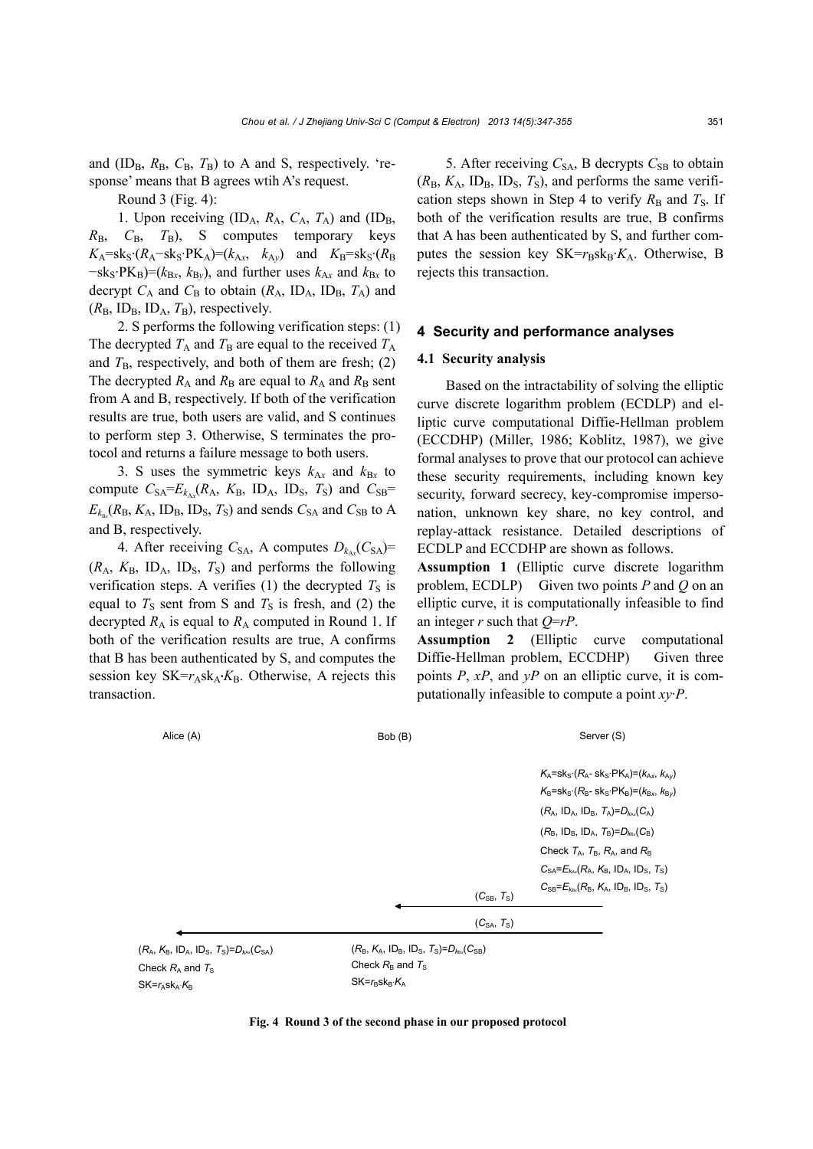and  $(ID_B, R_B, C_B, T_B)$  to A and S, respectively. 'response' means that B agrees wtih A's request.

Round 3 (Fig. 4):

1. Upon receiving  $(ID_A, R_A, C_A, T_A)$  and  $(ID_B, T_A)$  $R_{\rm B}$ ,  $C_{\rm B}$ ,  $T_{\rm B}$ ), S computes temporary keys  $K_A$ =sk<sub>S</sub>·( $R_A$ –sk<sub>S</sub>·PK<sub>A</sub>)=( $k_{Ax}$ ,  $k_{Ay}$ ) and  $K_B$ =sk<sub>S</sub>·( $R_B$  $-k_s$ ·PK<sub>B</sub> $)=(k_{Bx}, k_{By})$ , and further uses  $k_{Ax}$  and  $k_{Bx}$  to decrypt  $C_A$  and  $C_B$  to obtain ( $R_A$ , ID<sub>A</sub>, ID<sub>B</sub>,  $T_A$ ) and  $(R_{\rm B}, \text{ID}_{\rm B}, \text{ID}_{\rm A}, T_{\rm B})$ , respectively.

2. S performs the following verification steps: (1) The decrypted  $T_A$  and  $T_B$  are equal to the received  $T_A$ and  $T_{\rm B}$ , respectively, and both of them are fresh; (2) The decrypted  $R_A$  and  $R_B$  are equal to  $R_A$  and  $R_B$  sent from A and B, respectively. If both of the verification results are true, both users are valid, and S continues to perform step 3. Otherwise, S terminates the protocol and returns a failure message to both users.

3. S uses the symmetric keys  $k_{A}$  and  $k_{B}$  to compute  $C_{SA} = E_{k_{Ax}}(R_A, K_B, ID_A, ID_S, T_S)$  and  $C_{SB} =$  $E_{k_{\text{Bx}}}$ ( $R_{\text{B}}$ ,  $K_{\text{A}}$ , ID<sub>B</sub>, ID<sub>S</sub>,  $T_{\text{S}}$ ) and sends  $C_{\text{SA}}$  and  $C_{\text{SB}}$  to A and B, respectively.

4. After receiving  $C_{SA}$ , A computes  $D_{k_{Ax}}(C_{SA})=$  $(R_A, K_B, ID_A, ID_S, T_S)$  and performs the following verification steps. A verifies (1) the decrypted  $T<sub>S</sub>$  is equal to  $T<sub>S</sub>$  sent from S and  $T<sub>S</sub>$  is fresh, and (2) the decrypted  $R_A$  is equal to  $R_A$  computed in Round 1. If both of the verification results are true, A confirms that B has been authenticated by S, and computes the session key SK= $r_A$ sk<sub>A</sub>·*K*<sub>B</sub>. Otherwise, A rejects this transaction.

5. After receiving  $C_{SA}$ , B decrypts  $C_{SB}$  to obtain  $(R_B, K_A, ID_B, ID_S, T_S)$ , and performs the same verification steps shown in Step 4 to verify  $R_B$  and  $T_S$ . If both of the verification results are true, B confirms that A has been authenticated by S, and further computes the session key  $SK=r_B s k_B K_A$ . Otherwise, B rejects this transaction.

#### **4 Security and performance analyses**

#### **4.1 Security analysis**

Based on the intractability of solving the elliptic curve discrete logarithm problem (ECDLP) and elliptic curve computational Diffie-Hellman problem (ECCDHP) (Miller, 1986; Koblitz, 1987), we give formal analyses to prove that our protocol can achieve these security requirements, including known key security, forward secrecy, key-compromise impersonation, unknown key share, no key control, and replay-attack resistance. Detailed descriptions of ECDLP and ECCDHP are shown as follows.

**Assumption 1** (Elliptic curve discrete logarithm problem, ECDLP)Given two points *P* and *Q* on an elliptic curve, it is computationally infeasible to find an integer *r* such that *Q*=*rP*.

**Assumption 2** (Elliptic curve computational Diffie-Hellman problem, ECCDHP) Given three points *P*, *xP*, and *yP* on an elliptic curve, it is computationally infeasible to compute a point *xy*·*P*.

| Alice (A)                                                              | Bob (B)                                                                      | Server (S)                                                                                                                                                                 |
|------------------------------------------------------------------------|------------------------------------------------------------------------------|----------------------------------------------------------------------------------------------------------------------------------------------------------------------------|
|                                                                        |                                                                              | $K_A =$ sk <sub>s</sub> · $(R_A -$ sk <sub>s</sub> · $PK_A) = (k_{Ax}, k_{Ay})$<br>$K_B$ =sk <sub>S</sub> · $(R_B$ -sk <sub>S</sub> ·PK <sub>B</sub> )= $(k_{Bx}, k_{By})$ |
|                                                                        |                                                                              | $(R_A, ID_A, ID_B, T_A)=D_{kav}(C_A)$                                                                                                                                      |
|                                                                        |                                                                              | $(R_B, ID_B, ID_A, T_B) = D_{kax}(C_B)$                                                                                                                                    |
|                                                                        |                                                                              | Check $T_A$ , $T_B$ , $R_A$ , and $R_B$                                                                                                                                    |
|                                                                        |                                                                              | $C_{SA} = E_{k} / R_A$ , $K_B$ , ID <sub>A</sub> , ID <sub>S</sub> , $T_S$ )                                                                                               |
|                                                                        | $(C_{SB}, T_S)$                                                              | $C_{SB} = E_{k_B x} (R_B, K_A, ID_B, ID_S, T_S)$                                                                                                                           |
|                                                                        | $(C_{\text{SA}}, T_{\text{S}})$                                              |                                                                                                                                                                            |
| $(R_A, K_B, ID_A, ID_S, T_S) = D_{kax}(C_{SA})$<br>$Chook$ $D$ and $T$ | $(R_B, K_A, ID_B, ID_S, T_S) = D_{kax}(C_{SB})$<br>Check $R_{p}$ and $T_{p}$ |                                                                                                                                                                            |

Check  $R_A$  and  $T_S$  $SK=r<sub>A</sub>SK<sub>A</sub>·K<sub>B</sub>$ 

Check  $R_{\rm B}$  and  $T_{\rm S}$  $SK=r_B, sk_B.$ *K*<sub>A</sub>

**Fig. 4 Round 3 of the second phase in our proposed protocol**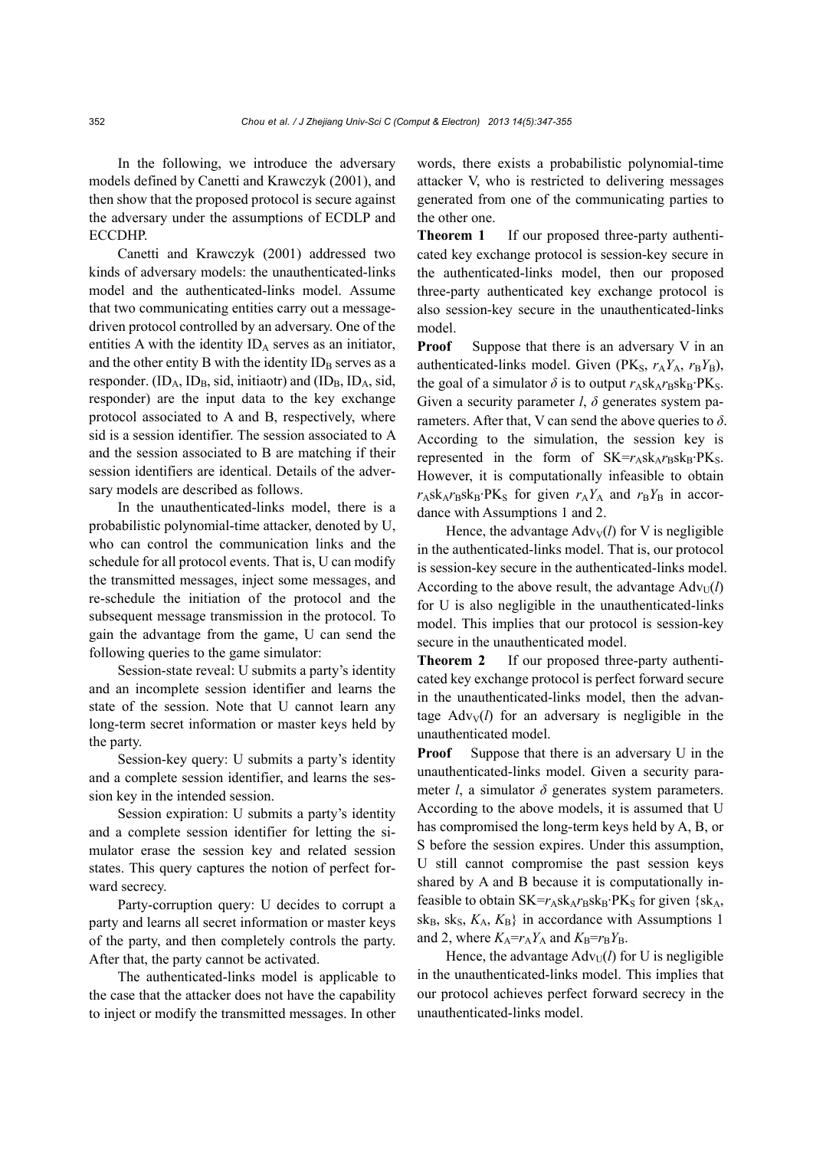In the following, we introduce the adversary models defined by Canetti and Krawczyk (2001), and then show that the proposed protocol is secure against the adversary under the assumptions of ECDLP and ECCDHP.

Canetti and Krawczyk (2001) addressed two kinds of adversary models: the unauthenticated-links model and the authenticated-links model. Assume that two communicating entities carry out a messagedriven protocol controlled by an adversary. One of the entities A with the identity  $ID_A$  serves as an initiator, and the other entity B with the identity  $ID_B$  serves as a responder.  $(ID_A, ID_B, sid, initiaotr)$  and  $(ID_B, ID_A, sid,$ responder) are the input data to the key exchange protocol associated to A and B, respectively, where sid is a session identifier. The session associated to A and the session associated to B are matching if their session identifiers are identical. Details of the adversary models are described as follows.

In the unauthenticated-links model, there is a probabilistic polynomial-time attacker, denoted by U, who can control the communication links and the schedule for all protocol events. That is, U can modify the transmitted messages, inject some messages, and re-schedule the initiation of the protocol and the subsequent message transmission in the protocol. To gain the advantage from the game, U can send the following queries to the game simulator:

Session-state reveal: U submits a party's identity and an incomplete session identifier and learns the state of the session. Note that U cannot learn any long-term secret information or master keys held by the party.

Session-key query: U submits a party's identity and a complete session identifier, and learns the session key in the intended session.

Session expiration: U submits a party's identity and a complete session identifier for letting the simulator erase the session key and related session states. This query captures the notion of perfect forward secrecy.

Party-corruption query: U decides to corrupt a party and learns all secret information or master keys of the party, and then completely controls the party. After that, the party cannot be activated.

The authenticated-links model is applicable to the case that the attacker does not have the capability to inject or modify the transmitted messages. In other words, there exists a probabilistic polynomial-time attacker V, who is restricted to delivering messages generated from one of the communicating parties to the other one.

**Theorem 1** If our proposed three-party authenticated key exchange protocol is session-key secure in the authenticated-links model, then our proposed three-party authenticated key exchange protocol is also session-key secure in the unauthenticated-links model.

**Proof** Suppose that there is an adversary V in an authenticated-links model. Given ( $PK_S$ ,  $r_AY_A$ ,  $r_BY_B$ ), the goal of a simulator  $\delta$  is to output  $r_A s k_A r_B s k_B \cdot P K_S$ . Given a security parameter *l*, *δ* generates system parameters. After that, V can send the above queries to *δ*. According to the simulation, the session key is represented in the form of  $SK=r_A s k_A r_B s k_B \cdot PK_S$ . However, it is computationally infeasible to obtain  $r_A$ sk<sub>A</sub> $r_B$ sk<sub>B</sub>·PK<sub>S</sub> for given  $r_A Y_A$  and  $r_B Y_B$  in accordance with Assumptions 1 and 2.

Hence, the advantage  $Adv<sub>V</sub>(l)$  for V is negligible in the authenticated-links model. That is, our protocol is session-key secure in the authenticated-links model. According to the above result, the advantage  $Adv_U(l)$ for U is also negligible in the unauthenticated-links model. This implies that our protocol is session-key secure in the unauthenticated model.

**Theorem 2** If our proposed three-party authenticated key exchange protocol is perfect forward secure in the unauthenticated-links model, then the advantage  $Adv_V(l)$  for an adversary is negligible in the unauthenticated model.

**Proof** Suppose that there is an adversary U in the unauthenticated-links model. Given a security parameter *l*, a simulator  $\delta$  generates system parameters. According to the above models, it is assumed that U has compromised the long-term keys held by A, B, or S before the session expires. Under this assumption, U still cannot compromise the past session keys shared by A and B because it is computationally infeasible to obtain  $SK=r_A s k_A r_B s k_B \cdot PK_S$  for given  $\{sk_A,$  $sk_B, sk_S, K_A, K_B$  in accordance with Assumptions 1 and 2, where  $K_A = r_A Y_A$  and  $K_B = r_B Y_B$ .

Hence, the advantage  $Adv_U(l)$  for U is negligible in the unauthenticated-links model. This implies that our protocol achieves perfect forward secrecy in the unauthenticated-links model.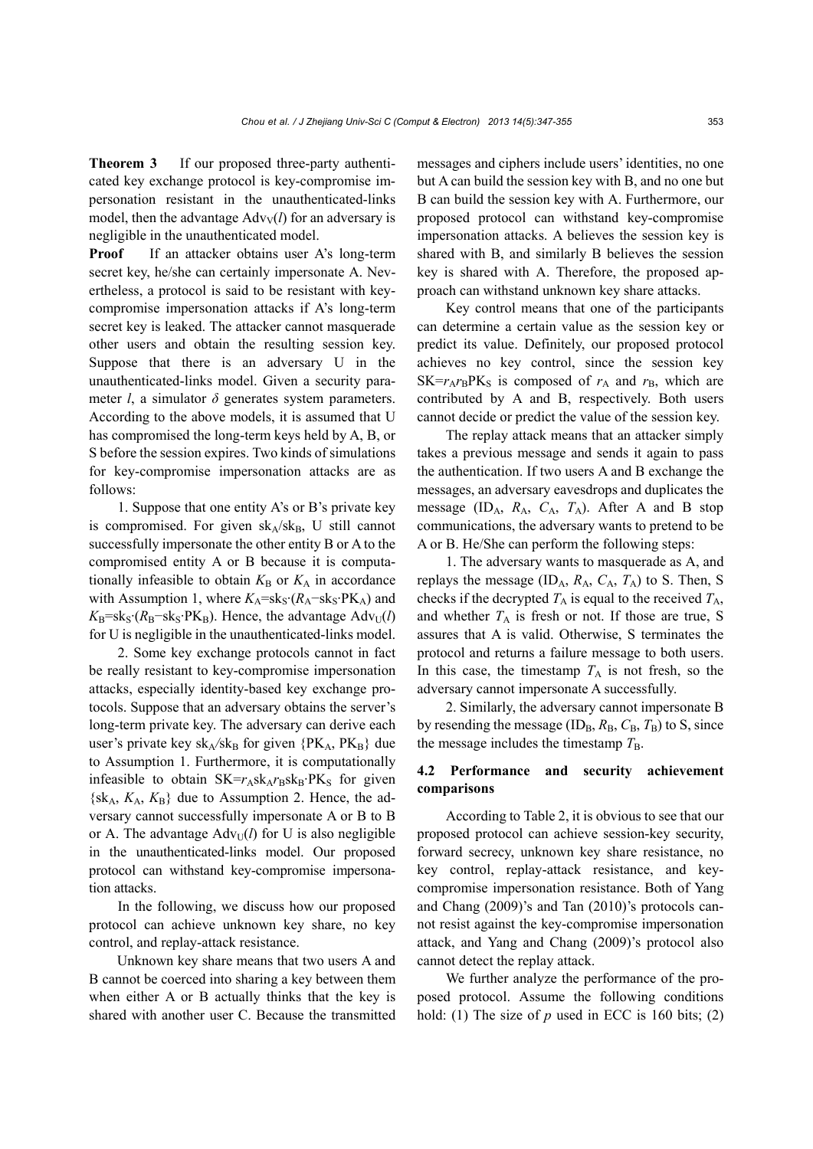**Theorem 3** If our proposed three-party authenticated key exchange protocol is key-compromise impersonation resistant in the unauthenticated-links model, then the advantage  $Adv_V(l)$  for an adversary is negligible in the unauthenticated model.

**Proof** If an attacker obtains user A's long-term secret key, he/she can certainly impersonate A. Nevertheless, a protocol is said to be resistant with keycompromise impersonation attacks if A's long-term secret key is leaked. The attacker cannot masquerade other users and obtain the resulting session key. Suppose that there is an adversary U in the unauthenticated-links model. Given a security parameter *l*, a simulator  $\delta$  generates system parameters. According to the above models, it is assumed that U has compromised the long-term keys held by A, B, or S before the session expires. Two kinds of simulations for key-compromise impersonation attacks are as follows:

1. Suppose that one entity A's or B's private key is compromised. For given  $sk_A / sk_B$ , U still cannot successfully impersonate the other entity B or A to the compromised entity A or B because it is computationally infeasible to obtain  $K_B$  or  $K_A$  in accordance with Assumption 1, where  $K_A$ =sk<sub>S</sub>·( $R_A$ −sk<sub>S</sub>·PK<sub>A</sub>) and  $K_{\rm B}$ =sk<sub>S</sub>·( $R_{\rm B}$ −sk<sub>S</sub>·PK<sub>B</sub>). Hence, the advantage Adv<sub>U</sub>(*l*) for U is negligible in the unauthenticated-links model.

2. Some key exchange protocols cannot in fact be really resistant to key-compromise impersonation attacks, especially identity-based key exchange protocols. Suppose that an adversary obtains the server's long-term private key. The adversary can derive each user's private key sk<sub>A</sub>/sk<sub>B</sub> for given  ${P}K_A, PK_B$  due to Assumption 1. Furthermore, it is computationally infeasible to obtain  $SK=r_A s k_A r_B s k_B \cdot PK_S$  for given  $\{sk_A, K_A, K_B\}$  due to Assumption 2. Hence, the adversary cannot successfully impersonate A or B to B or A. The advantage  $Adv_{U}(l)$  for U is also negligible in the unauthenticated-links model. Our proposed protocol can withstand key-compromise impersonation attacks.

In the following, we discuss how our proposed protocol can achieve unknown key share, no key control, and replay-attack resistance.

Unknown key share means that two users A and B cannot be coerced into sharing a key between them when either A or B actually thinks that the key is shared with another user C. Because the transmitted messages and ciphers include users' identities, no one but A can build the session key with B, and no one but B can build the session key with A. Furthermore, our proposed protocol can withstand key-compromise impersonation attacks. A believes the session key is shared with B, and similarly B believes the session key is shared with A. Therefore, the proposed approach can withstand unknown key share attacks.

Key control means that one of the participants can determine a certain value as the session key or predict its value. Definitely, our proposed protocol achieves no key control, since the session key  $SK=r_A r_B P K_S$  is composed of  $r_A$  and  $r_B$ , which are contributed by A and B, respectively. Both users cannot decide or predict the value of the session key.

The replay attack means that an attacker simply takes a previous message and sends it again to pass the authentication. If two users A and B exchange the messages, an adversary eavesdrops and duplicates the message (IDA, *R*A, *C*A, *T*A). After A and B stop communications, the adversary wants to pretend to be A or B. He/She can perform the following steps:

1. The adversary wants to masquerade as A, and replays the message (ID<sub>A</sub>,  $R_A$ ,  $C_A$ ,  $T_A$ ) to S. Then, S checks if the decrypted  $T_A$  is equal to the received  $T_A$ , and whether  $T_A$  is fresh or not. If those are true, S assures that A is valid. Otherwise, S terminates the protocol and returns a failure message to both users. In this case, the timestamp  $T_A$  is not fresh, so the adversary cannot impersonate A successfully.

2. Similarly, the adversary cannot impersonate B by resending the message  $(ID_B, R_B, C_B, T_B)$  to S, since the message includes the timestamp  $T_{\text{B}}$ .

## **4.2 Performance and security achievement comparisons**

According to Table 2, it is obvious to see that our proposed protocol can achieve session-key security, forward secrecy, unknown key share resistance, no key control, replay-attack resistance, and keycompromise impersonation resistance. Both of Yang and Chang (2009)'s and Tan (2010)'s protocols cannot resist against the key-compromise impersonation attack, and Yang and Chang (2009)'s protocol also cannot detect the replay attack.

We further analyze the performance of the proposed protocol. Assume the following conditions hold: (1) The size of  $p$  used in ECC is 160 bits; (2)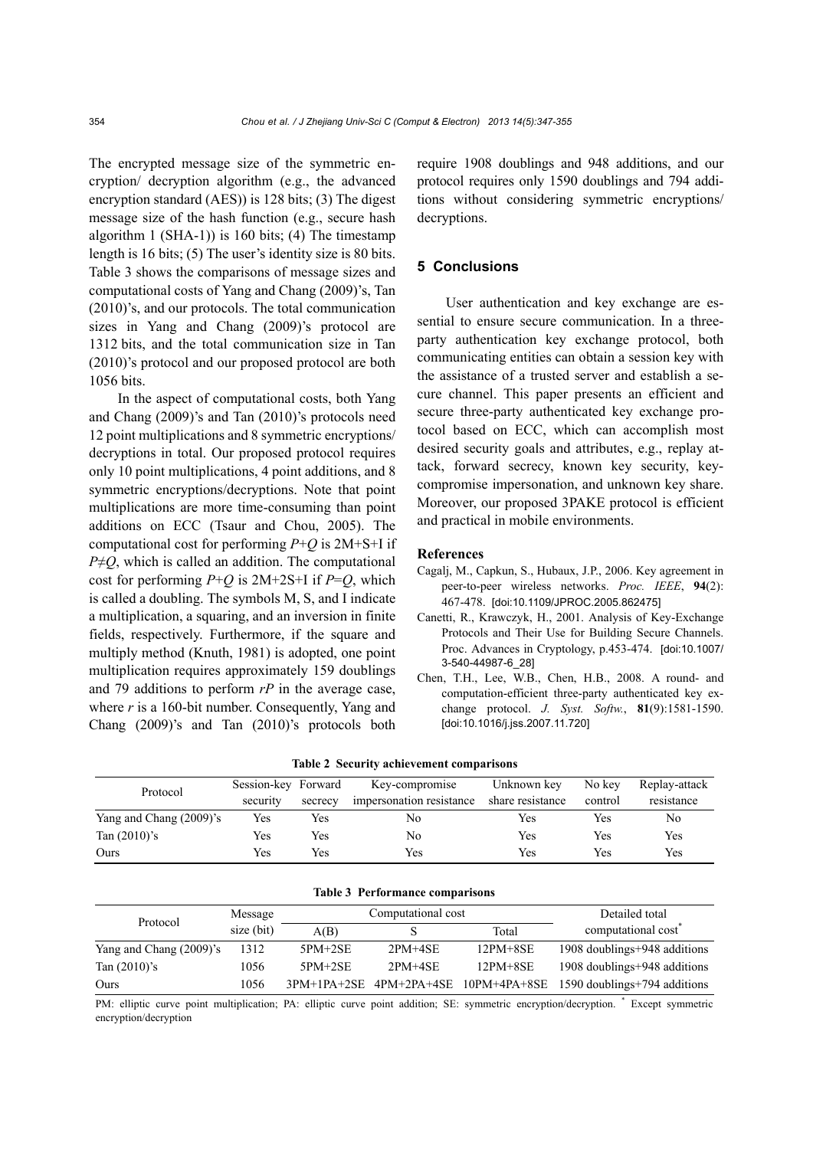The encrypted message size of the symmetric encryption/ decryption algorithm (e.g., the advanced encryption standard (AES)) is 128 bits; (3) The digest message size of the hash function (e.g., secure hash algorithm 1 (SHA-1)) is 160 bits; (4) The timestamp length is 16 bits; (5) The user's identity size is 80 bits. Table 3 shows the comparisons of message sizes and computational costs of Yang and Chang (2009)'s, Tan (2010)'s, and our protocols. The total communication sizes in Yang and Chang (2009)'s protocol are 1312 bits, and the total communication size in Tan (2010)'s protocol and our proposed protocol are both 1056 bits.

In the aspect of computational costs, both Yang and Chang (2009)'s and Tan (2010)'s protocols need 12 point multiplications and 8 symmetric encryptions/ decryptions in total. Our proposed protocol requires only 10 point multiplications, 4 point additions, and 8 symmetric encryptions/decryptions. Note that point multiplications are more time-consuming than point additions on ECC (Tsaur and Chou, 2005). The computational cost for performing *P*+*Q* is 2M+S+I if  $P \neq Q$ , which is called an addition. The computational cost for performing  $P+Q$  is  $2M+2S+I$  if  $P=Q$ , which is called a doubling. The symbols M, S, and I indicate a multiplication, a squaring, and an inversion in finite fields, respectively. Furthermore, if the square and multiply method (Knuth, 1981) is adopted, one point multiplication requires approximately 159 doublings and 79 additions to perform *rP* in the average case, where  $r$  is a 160-bit number. Consequently, Yang and Chang (2009)'s and Tan (2010)'s protocols both require 1908 doublings and 948 additions, and our protocol requires only 1590 doublings and 794 additions without considering symmetric encryptions/ decryptions.

## **5 Conclusions**

User authentication and key exchange are essential to ensure secure communication. In a threeparty authentication key exchange protocol, both communicating entities can obtain a session key with the assistance of a trusted server and establish a secure channel. This paper presents an efficient and secure three-party authenticated key exchange protocol based on ECC, which can accomplish most desired security goals and attributes, e.g., replay attack, forward secrecy, known key security, keycompromise impersonation, and unknown key share. Moreover, our proposed 3PAKE protocol is efficient and practical in mobile environments.

#### **References**

- Cagalj, M., Capkun, S., Hubaux, J.P., 2006. Key agreement in peer-to-peer wireless networks. *Proc. IEEE*, **94**(2): 467-478. [doi:10.1109/JPROC.2005.862475]
- Canetti, R., Krawczyk, H., 2001. Analysis of Key-Exchange Protocols and Their Use for Building Secure Channels. Proc. Advances in Cryptology, p.453-474. [doi:10.1007/ 3-540-44987-6\_28]
- Chen, T.H., Lee, W.B., Chen, H.B., 2008. A round- and computation-efficient three-party authenticated key exchange protocol. *J. Syst. Softw.*, **81**(9):1581-1590. [doi:10.1016/j.jss.2007.11.720]

| $1000 \pm 0000000$      |                     |         |                          |                  |         |               |
|-------------------------|---------------------|---------|--------------------------|------------------|---------|---------------|
| Protocol                | Session-key Forward |         | Key-compromise           | Unknown key      | No kev  | Replay-attack |
|                         | security            | secrecy | impersonation resistance | share resistance | control | resistance    |
| Yang and Chang (2009)'s | Yes                 | Yes     | No                       | Yes              | Yes     | No            |
| Tan $(2010)$ 's         | Yes                 | Yes     | No                       | Yes              | Yes     | Yes           |
| Ours                    | Yes                 | Yes     | Yes                      | Yes              | Yes     | Yes           |

|  | Table 2 Security achievement comparisons |
|--|------------------------------------------|
|  |                                          |

| Table 3 Performance comparisons |  |  |  |
|---------------------------------|--|--|--|
|---------------------------------|--|--|--|

| Protocol                | Message    | Computational cost |                             |                         | Detailed total                  |
|-------------------------|------------|--------------------|-----------------------------|-------------------------|---------------------------------|
|                         | size (bit) | A(B)               |                             | Total                   | computational cost <sup>*</sup> |
| Yang and Chang (2009)'s | 1312       | $5PM+2SE$          | $2PM + 4SE$                 | $12PM + 8SE$            | 1908 doublings+948 additions    |
| Tan $(2010)$ 's         | 1056       | $5PM+2SE$          | $2PM + 4SE$                 | $12PM + 8SE$            | 1908 doublings+948 additions    |
| Ours                    | 1056       |                    | $3PM+1PA+2SE$ $4PM+2PA+4SE$ | $10$ PM $+4$ PA $+8$ SE | 1590 doublings+794 additions    |

PM: elliptic curve point multiplication; PA: elliptic curve point addition; SE: symmetric encryption/decryption. \* Except symmetric encryption/decryption